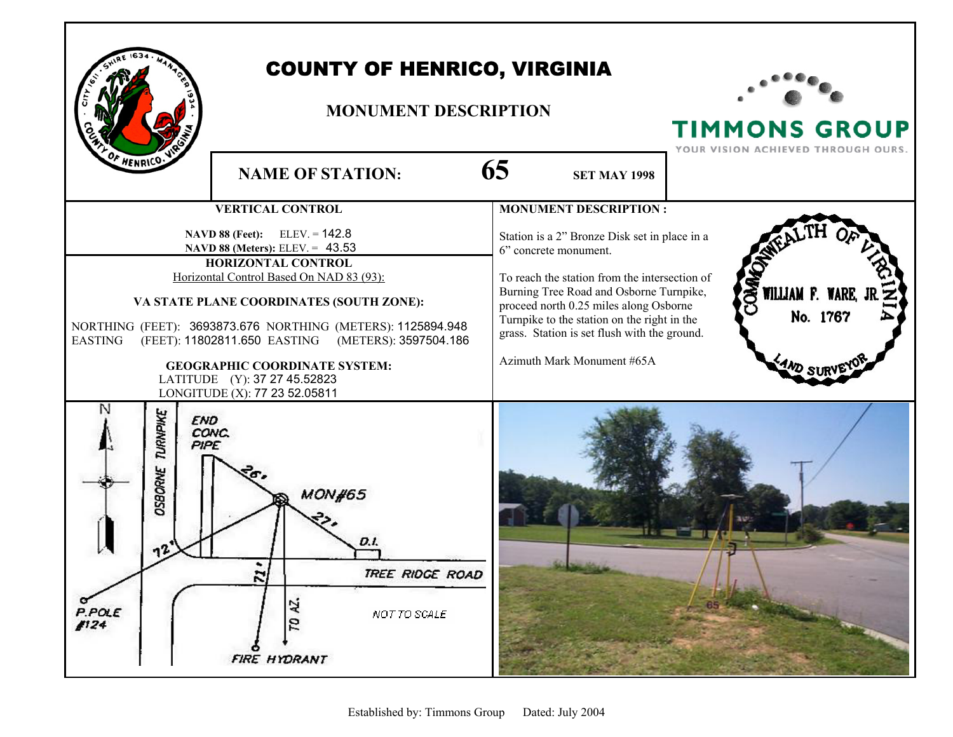